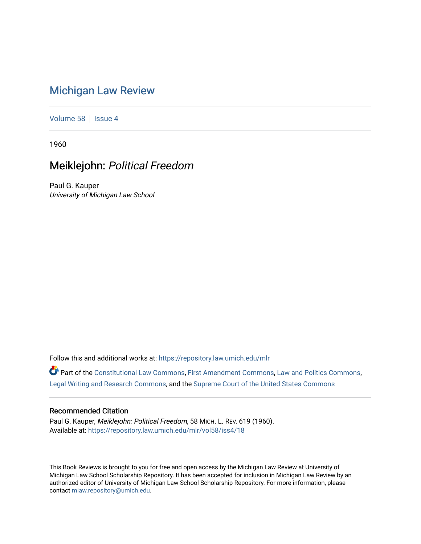## [Michigan Law Review](https://repository.law.umich.edu/mlr)

[Volume 58](https://repository.law.umich.edu/mlr/vol58) | [Issue 4](https://repository.law.umich.edu/mlr/vol58/iss4)

1960

## Meiklejohn: Political Freedom

Paul G. Kauper University of Michigan Law School

Follow this and additional works at: [https://repository.law.umich.edu/mlr](https://repository.law.umich.edu/mlr?utm_source=repository.law.umich.edu%2Fmlr%2Fvol58%2Fiss4%2F18&utm_medium=PDF&utm_campaign=PDFCoverPages) 

Part of the [Constitutional Law Commons,](http://network.bepress.com/hgg/discipline/589?utm_source=repository.law.umich.edu%2Fmlr%2Fvol58%2Fiss4%2F18&utm_medium=PDF&utm_campaign=PDFCoverPages) [First Amendment Commons,](http://network.bepress.com/hgg/discipline/1115?utm_source=repository.law.umich.edu%2Fmlr%2Fvol58%2Fiss4%2F18&utm_medium=PDF&utm_campaign=PDFCoverPages) [Law and Politics Commons](http://network.bepress.com/hgg/discipline/867?utm_source=repository.law.umich.edu%2Fmlr%2Fvol58%2Fiss4%2F18&utm_medium=PDF&utm_campaign=PDFCoverPages), [Legal Writing and Research Commons,](http://network.bepress.com/hgg/discipline/614?utm_source=repository.law.umich.edu%2Fmlr%2Fvol58%2Fiss4%2F18&utm_medium=PDF&utm_campaign=PDFCoverPages) and the [Supreme Court of the United States Commons](http://network.bepress.com/hgg/discipline/1350?utm_source=repository.law.umich.edu%2Fmlr%2Fvol58%2Fiss4%2F18&utm_medium=PDF&utm_campaign=PDFCoverPages)

## Recommended Citation

Paul G. Kauper, Meiklejohn: Political Freedom, 58 MICH. L. REV. 619 (1960). Available at: [https://repository.law.umich.edu/mlr/vol58/iss4/18](https://repository.law.umich.edu/mlr/vol58/iss4/18?utm_source=repository.law.umich.edu%2Fmlr%2Fvol58%2Fiss4%2F18&utm_medium=PDF&utm_campaign=PDFCoverPages) 

This Book Reviews is brought to you for free and open access by the Michigan Law Review at University of Michigan Law School Scholarship Repository. It has been accepted for inclusion in Michigan Law Review by an authorized editor of University of Michigan Law School Scholarship Repository. For more information, please contact [mlaw.repository@umich.edu](mailto:mlaw.repository@umich.edu).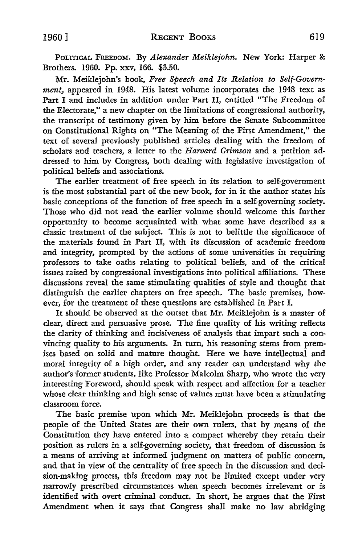POLITICAL FREEDOM. By *Alexander Meiklejohn.* New York: Harper & Brothers. 1960. Pp. xxv, 166. \$3.50.

Mr. Meik.lejohn's book, *Free Speech and Its Relation to Self-Government,* appeared in 1948. His latest volume incorporates the 1948 text as Part I and includes in addition under Part II, entitled "The Freedom of the Electorate," a new chapter on the limitations of congressional authority, the transcript of testimony given by him before the Senate Subcommittee on Constitutional Rights on "The Meaning of the First Amendment," the text of several previously published articles dealing with the freedom of scholars and teachers, a letter to the *Harvard Crimson* and a petition addressed to him by Congress, both dealing with legislative investigation of political beliefs and associations.

The earlier treatment of free speech in its relation to self-government is the most substantial part of the new book, for in it the author states his basic conceptions of the function of free speech in a self-governing society. Those who did not read the earlier volume should welcome this further opportunity to become acquainted with what some have described as a classic treatment of the subject. This is not to belittle the significance of the materials found in Part II, with its discussion of academic freedom and integrity, prompted by the actions of some universities in requiring professors to take oaths relating to political beliefs, and of the critical issues raised by congressional investigations into political affiliations. These discussions reveal the same stimulating qualities of style and thought that distinguish the earlier chapters on free speech. The basic premises, however, for the treatment of these questions are established in Part I.

It should be observed at the outset that Mr. Meiklejohn is a master of clear, direct and persuasive prose. The fine quality of his writing reflects the clarity of thinking and incisiveness of analysis that impart such a convincing quality to his arguments. In tum, his reasoning stems from premises based on solid and mature thought. Here we have intellectual and moral integrity of a high order, and any reader can understand why the author's former students, like Professor Malcolm Sharp, who wrote the very interesting Foreword, should speak with respect and affection for a teacher whose clear thinking and high sense of values must have been a stimulating classroom force.

The basic premise upon which Mr. Meiklejohn proceeds is that the people of the United States are their own rulers, that by means of the Constitution they have entered into a compact whereby they retain their position as rulers in a self-governing society, that freedom of discussion is a means of arriving at informed judgment on matters of public concern, and that in view of the centrality of free speech in the discussion and decision-making process, this freedom may not be limited except under very narrowly prescribed circumstances when speech becomes irrelevant or is identified with overt criminal conduct. In short, he argues that the First Amendment when it says that Congress shall make no law abridging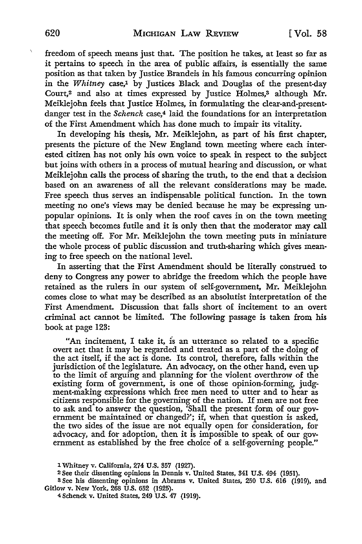freedom of speech means just that. The position he takes, at least so far as it pertains to speech in the area of public affairs, is essentially the same position as that taken by Justice Brandeis in his famous concurring opinion in the *Whitney* case,1 by Justices Black and Douglas of the present-day Court,2 and also at times expressed by Justice Holmes,3 although Mr. Meiklejohn feels that Justice Holmes, in formulating the clear-and-presentdanger test in the *Schenck* case,4 laid the foundations for an interpretation of the First Amendment which has done much to impair its vitality.

In developing his thesis, Mr. Meiklejohn, as part of his first chapter, presents the picture of the New England town meeting where each interested citizen has not only his own voice to speak in respect to the subject but joins with others in a process of mutual hearing and discussion, or what Meiklejohn calls the process of sharing the truth, to the end that a decision based on an awareness of all the relevant considerations may be made. Free speech thus serves an indispensable political function. In the town meeting no one's views may be denied because he may be expressing unpopular opinions. It is only when the roof caves in on the town meeting\_ that speech becomes futile and it is only then that the moderator may call the meeting off. For Mr. Meiklejohn the town meeting puts in miniature the whole process of public discussion and truth-sharing which gives meaning to free speech on the national level.

In asserting that the First Amendment should be literally construed to deny to Congress any power to abridge the freedom which the people have retained as the rulers in our system of self-government, Mr. Meiklejohn comes close to what may be described as an absolutist interpretation of the First Amendment. Discussion that falls short of incitement to an overt criminal act cannot be limited. The following passage is taken from his book at page 123:

"An incitement, I take it, is an utterance so related to a specific overt act that it may be regarded and treated as a part of the doing of the act itself, if the act is done. Its control, therefore, falls within the jurisdiction of the legislature. An advocacy, on the other hand, even up to the limit of arguing and planning for the violent overthrow of the existing form of government, is one of those opinion-forming, judgment-making expressions which free men need to utter and to hear as citizens responsible for the governing of the nation. If men are not free to ask and to answer the question, 'Shall the present form of our government be maintained or changed?'; if, when that question is asked, the two sides of the issue are not equally open for consideration, for advocacy, and for adoption, then it is impossible to speak of our government as established by the free choice of a self-governing people."

<sup>1</sup> Whitney v. California, 274 U.S. 357 (1927).

<sup>2</sup> See their dissenting opinions in Dennis v. United States, 341 U.S. 494 (1951).

<sup>8</sup> See his dissenting opinions in Abrams v. United States, 250 U.S. 616 (1919), and Gitlow v. New York, 268 U.S. 652 (1925).

<sup>4</sup>Schenck v. United States, 249 U.S. 47 (1919).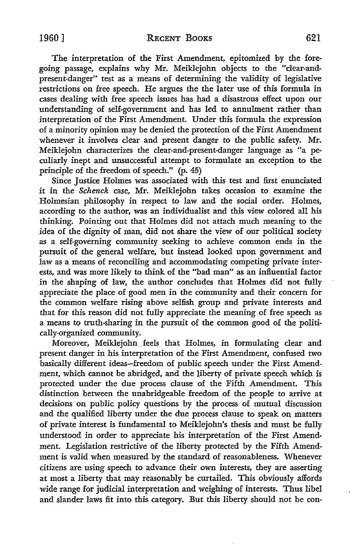1960] **RECENT BOOKS** 621

The interpretation of the First Amendment, epitomized by the foregoing passage, explains why Mr. Meiklejohn objects to the "clear-andpresent-danger" test as a means of determining the validity of legislative restrictions on free speech. He argues the the later use of this formula in cases dealing with free speech issues has had a disastrous effect upon our understanding of self-government and has led to annulment rather than interpretation of the First Amendment. Under this formula the expression of a minority opinion may be denied the protection of the First Amendment whenever it involves clear and present danger to the public safety. Mr. Meiklejohn characterizes the clear-and-present-danger language as "a peculiarly inept and unsuccessful attempt to formulate an exception to the principle of the freedom of speech." (p. 45)

Since Justice Holmes was associated with this test and first enunciated it in the *Schenck* case, Mr. Meiklejohn takes occasion to examine the Holmesian philosophy in respect to law and the social order. Holmes, according to the author, was an individualist and this view colored all his thinking. Pointing out that Holmes did not attach much meaning to the idea of the dignity of man, did not share the view of our political society as a self-governing community seeking to achieve common ends in the pursuit of the general welfare, but instead looked upon government and law as a means of reconciling and accommodating competing private interests, and was more likely to think of the "bad man" as an influential factor in the shaping of law, the author concludes that Holmes did not fully appreciate the place of good men in the community and their concern for the common welfare rising above selfish group and private interests and that for this reason did not fully appreciate the meaning of free speech as a means to truth-sharing in the pursuit of the common good of the politically-organized community.

Moreover, Meiklejohn . feels that Holmes, in formulating clear and present danger in his interpretation of the First Amendment, confused two basically different ideas-freedom of public speech under the First Amendment, which cannot be abridged, and the liberty of private speech which is protected under the due process clause of the Fifth Amendment. This distinction between the unabridgeable freedom of the people to arrive at decisions on public policy questions by the process of mutual discussion and the qualified liberty under the due process clause to speak on matters of private interest is fundamental to Meiklejohn's thesis and must be fully understood in order to appreciate his interpretation of the First Amendment. Legislation restrictive of the liberty protected by the Fifth Amendment is valid when measured by the standard of reasonableness. Whenever citizens are using speech to advance their own interests, they are asserting at most a liberty that may reasonably be curtailed. This obviously affords wide range for judicial interpretation and weighing of interests. Thus libel and slander laws fit into this category. But this liberty should not be con-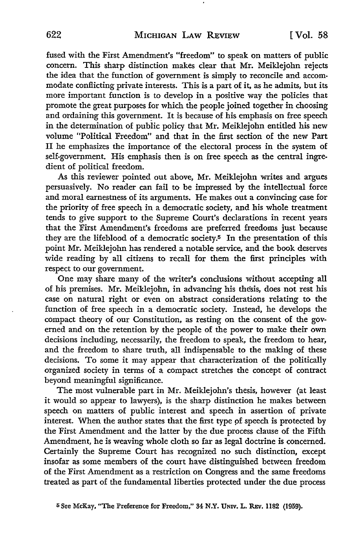fused with the First Amendment's "freedom" to speak on matters of public concern. This sharp distinction makes clear that Mr. Meiklejohn rejects the idea that the function of government is simply to reconcile and accommodate conflicting private interests. This is a part of it, as he admits, but its more important function is to develop in a positive way the policies that promote the great purposes for which the people joined together in choosing and ordaining this government. It is because of his emphasis on free speech in the determination of public policy that Mr. Meiklejohn entitled his new volume "Political Freedom" and that in the first section of the new Part II he emphasizes the importance of the electoral process in the system of self-government. His emphasis then is on free speech as the central ingredient of political freedom.

As this reviewer pointed out above, Mr. Meiklejohn writes and argues persuasively. No reader can fail to be impressed by the intellectual force and moral earnestness of its arguments. He makes out a convincing case for the priority of free speech in a democratic society, and his whole treatment tends to give support to the Supreme Court's declarations in recent years that the First Amendment's freedoms are preferred freedoms just because they are the lifeblood of a democratic society.<sup>5</sup> In the presentation of this point Mr. Meiklejohn has rendered a notable service, and the book deserves wide reading by all citizens to recall for them the first principles with respect to our government.

One may share many of the writer's conclusions without accepting all of his premises. Mr. Meiklejohn, in advancing his thesis, does not rest his case on natural right or even on abstract considerations relating to the function of free speech in a democratic society. Instead, he develops the compact theory of our Constitution, as resting on the consent of the governed and on the retention by the people of the power to make their own decisions including, necessarily, the freedom to speak, the freedom to hear, and the freedom to share truth, all indispensable to the making of these decisions. To some it may appear that characterization of the politically organized society in terms of a compact stretches the concept of contract beyond meaningful significance.

The most vulnerable part in Mr. Meiklejohn's thesis, however (at least it would so appear to lawyers), is the sharp distinction he makes between speech on matters of public interest and speech in assertion of private interest. When the author states that the first type pf speech is protected by the First Amendment and the latter by the due process clause of the Fifth Amendment, he is weaving whole cloth so far as legal doctrine is concerned. Certainly the Supreme Court has recognized no such distinction, except insofar as some members of the court have distinguished between freedom of the First Amendment as a restriction on Congress and the same freedoms treated as part of the fundamental liberties protected under the due process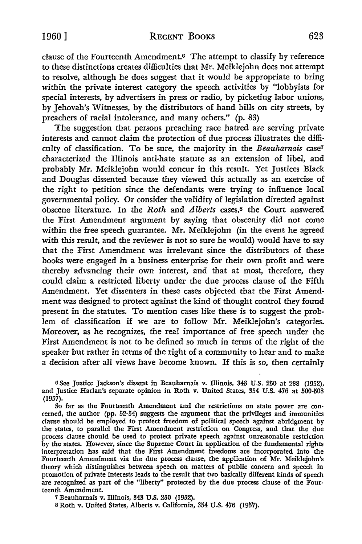1960] RECENT BOOKS 623

clause of the Fourteenth Amendment.6 The attempt to classify by reference to these distinctions creates difficulties that Mr. Meiklejohn does not attempt to resolve, although he does suggest that it would be appropriate to bring within the private interest category the speech activities by "lobbyists for special interests, by advertisers in press or radio, by picketing labor unions, by Jehovah's Witnesses, by the distributors of hand bills on city streets, by preachers of racial intolerance, and many others." (p. 83)

The suggestion that persons preaching race hatred are serving private interests and cannot claim the protection of due process illustrates the difficulty of classification. To be sure, the majority in the *Beauharnais* case<sup>7</sup> characterized the Illinois anti-hate statute as an extension of libel, and probably Mr. Meiklejohn would concur in this result. Yet Justices Black and Douglas dissented because they viewed this actually as an exercise of the right to petition since the defendants were trying to influence local governmental policy. Or consider the validity of legislation directed against obscene literature. In the *Roth* and *Alberts* cases,8 the Court answered the First Amendment argument by saying that obscenity did not come within the free speech guarantee. Mr. Meiklejohn (in the event he agreed with this result, and the reviewer is not so sure he would) would have to say that the First Amendment was irrelevant since the distributors of these books were engaged in a business enterprise for their own profit and were thereby advancing their own interest, and that at most, therefore, they could claim a restricted liberty under the due process clause of the Fifth Amendment. Yet dissenters in these cases objected that the First Amendment was designed to protect against the kind of thought control they found present in the statutes. To mention cases like these is to suggest the problem of classification if we are to follow Mr. Meiklejohn's categories. Moreover, as he recognizes, the real importance of free speech under the First Amendment is not to be defined so much in terms of the right of the speaker but rather in terms of the right of a community to hear and to make a decision after all views have become known. If this is so, then certainly

<sup>6</sup>See Justice Jackson's dissent in Beauharnais v. Illinois, 343 U.S. 250 at 288 (1952), and Justice Harlan's separate opinion in Roth v. United States, 354 U.S. 476 at 500-508 (1957).

So far as the Fourteenth Amendment and the restrictions on state power are concerned, the author (pp. 52-54) suggests the argument that the privileges and immunities clause should be employed to protect freedom of political speech against abridgment by the states, to parallel the First Amendment restriction on Congress, and that the due process clause should be used to protect private speech against unreasonable restriction by the states. However, since the Supreme Court in application of the fundamental rights interpretation has said that the First Amendment freedoms are incorporated into the Fourteenth Amendment via the due process clause, the application of Mr. Meiklejohn's theory which distinguishes between speech on matters of public concern and speech in promotion of private interests leads to the result that two basically different kinds of speech are recognized as part of the "liberty" protected by the due process clause of the Fourteenth Amendment.

7 Beauharnais v. Illinois, 343 U.S. 250 (1952).

s Roth v. United States, Alberts v. California, 354 U.S. 476 (1957).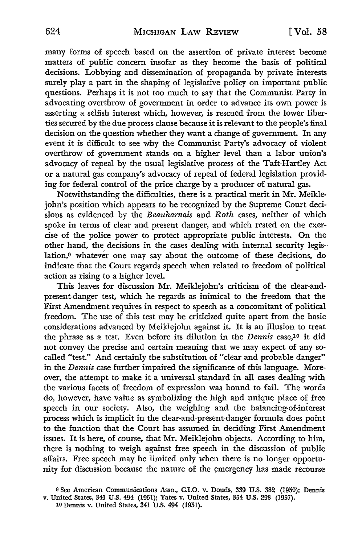many forms of speech based on the assertion of private interest become matters of public concern insofar as they become the basis of political decisions. Lobbying and dissemination of propaganda by private interests surely play a part in the shaping of legislative policy on important public questions. Perhaps it is not too much to say that the Communist Party in advocating overthrow of government in order to advance its own power is asserting a selfish interest which, however, is rescued from the lower liberties secured by the due process clause because it is relevant to the people's final decision on the question whether they want a change of government. In any event it is difficult to see why the Communist Party's advocacy of violent overthrow of government stands on a higher level than a labor union's advocacy of repeal by the usual legislative process of the Taft-Hartley Act or a natural gas company's advocacy of repeal of federal legislation providing for federal control of the price charge by a producer of natural gas.

Notwithstanding the difficulties, there is a practical merit in Mr. Meiklejohn's position which appears to be recognized by the Supreme Court decisions as evidenced by the *Beauharnais* and *Roth* cases, neither of which spoke in terms of clear and present danger, and which rested on the exercise of the police power to protect appropriate public interests. **On** the other hand, the decisions in the cases dealing with internal security legis-• lation,<sup>9</sup> whatever one may say about the outcome of these decisions, do indicate that the Court regards speech when related to freedom of political action as rising to a higher level.

This leaves for discussion Mr. Meiklejohn's criticism of the clear-andpresent-danger test, which he regards as inimical to the freedom that the First Amendment requires in respect to speech as a concomitant of political freedom. The use of this test may be criticized quite apart from the basic considerations advanced by Meiklejohn against it. It is an illusion to treat the phrase as a test. Even before its dilution in the *Dennis* case,1° it did not convey the precise and certain meaning that we may expect of any socalled "test." And certainly the substitution of "clear and probable danger" in the *Dennis* case further impaired the significance of this language. Moreover, the attempt to make it a universal standard in all cases dealing with the various facets of freedom of expression was bound to fail. The words do, however, have value as symbolizing the high and unique place of free speech in our society. Also, the weighing and the balancing-of-interest process which is implicit in the clear-and-present-danger formula does point to the function that the Court has assumed in deciding First Amendment issues. It is here, of course, that Mr. Meiklejohn objects. According to him, there is nothing to weigh against free speech in the discussion of public affairs. Free speech may be limited only when there is no longer opportunity for discussion because the nature of the emergency has made recourse

9 See American Communications Assn., C.I.O. v. Douds, 339 U.S. 382 (1950); Dennis v. United States, 341 U.S. 494 (1951); Yates v. United States, 354 U.S. 298 (1957).

10 Dennis v. United States, 341 U.S. 494 (1951).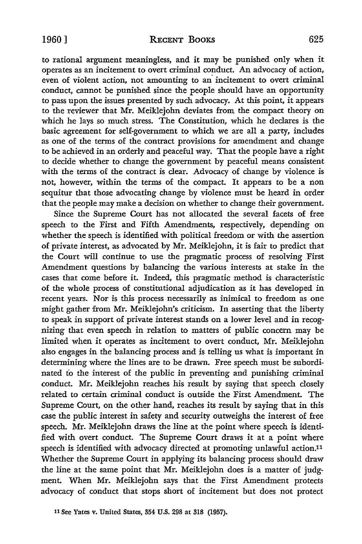to rational argument meaningless, and it may be punished only when it operates as an incitement to overt criminal conduct. An advocacy of action, even of violent action, not amounting to an incitement to overt criminal conduct, cannot be punished since the people should have an opportunity to pass upon the issues presented by such advocacy. At this point, it appears to the reviewer that Mr. Meiklejohn deviates from the compact theory on which he lays so much stress. The Constitution, which he declares is the basic agreement for self-government to which we are all a party, includes as one of the terms of the contract provisions for amendment and change to be achieved in an orderly and peaceful way. That the people have a right to decide whether to change the government by peaceful means consistent with the terms of the contract is clear. Advocacy of change by violence is not, however, within the terms of the compact. It appears to be a non sequitur that those advocating change by violence must be heard in order that the people may make a decision on whether to change their government.

Since the Supreme Court has not allocated the several facets of free speech to the First and Fifth Amendments, respectively, depending on whether the speech is identified with political freedom or with the assertion of private interest, as advocated by Mr. Meiklejohn, it is fair to predict that the Court will continue to use the pragmatic process of resolving First Amendment questions by balancing the various interests at stake in the cases that come before it. Indeed, this pragmatic method is characteristic of the whole process of constitutional adjudication as it has developed in recent years. Nor is this process necessarily as inimical to freedom as one might gather from Mr. Meiklejohn's criticism. In asserting that the liberty to speak in support of private interest stands on a lower level and in recognizing that even speech in relation to matters of public concern may be limited when it operates as incitement to overt conduct, Mr. Meiklejohn also engages in the balancing process and is telling us what is important in determining where the lines are to be drawn. Free speech must be subordinated to the interest of the public in preventing and punishing criminal conduct. Mr. Meiklejohn reaches his result by saying that speech closely related to certain criminal conduct is outside the First Amendment. The Supreme *Court,* on the other hand, reaches its result by saying that in this case the public interest in safety and security outweighs the interest of free speech. Mr. Meiklejohn draws the line at the point where speech is identified with overt conduct. The Supreme Court draws it at a point where speech is identified with advocacy directed at promoting unlawful action.<sup>11</sup> Whether the Supreme Court in applying its balancing process should draw the line at the same point that Mr. Meiklejohn does is a matter of judgment. When Mr. Meiklejohn says that the First Amendment protects advocacy of conduct that stops short of incitement but does not protect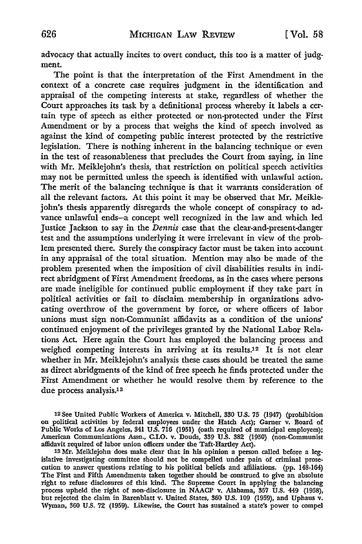advocacy that actually incites to overt conduct, this too is a matter of judgment.

The point is that the interpretation of the First Amendment in the context of a concrete case requires judgment in the identification and appraisal of the competing interests at stake, regardless of whether the Court approaches its task by a definitional process whereby it labels a certain type of speech as either protected or non-protected under the First Amendment or by a process that weighs the kind of speech involved as against the kind of competing public interest protected by the restrictive legislation. There is nothing inherent in the balancing technique or even in the test of reasonableness that precludes the Court from saying, in line with Mr. Meiklejohn's thesis, that restriction on political speech activities may not be permitted unless the speech is identified with unlawful action. The merit of the balancing technique is that it warrants consideration of all the relevant factors. At this point it may be observed that Mr. Meiklejohn's thesis apparently disregards the whole concept of conspiracy to advance unlawful ends-a concept well recognized in the law and which led Justice Jackson to say in the *Dennis* case that the clear-and-present-danger test and the assumptions underlying it were irrelevant in view of the problem presented there. Surely the conspiracy factor must be taken into account in any appraisal of the total situation. Mention may also be made of the problem presented when the imposition of civil disabilities results in indirect abridgment of First Amendment freedoms, as in the cases where persons are made ineligible for continued public employment i£ they take part in political activities or fail to disclaim membership in organizations advocating overthrow of the government by force, or where officers of labor unions must sign non-Communist affidavits as a condition of the unions' continued enjoyment of the privileges granted by the National Labor Relations Act. Here again the Court has employed the balancing process and weighed competing interests in arriving at its results.12 It is not clear whether in Mr. Meiklejohn's analysis these cases should be treated the same as direct abridgments of the kind of free speech he finds protected under the First Amendment or whether he would resolve them by reference to the due process analysis.1a

12 See United Public Workers of America v. Mitchell, 330 U.S. 75 (1947) (prohibition on political activities by federal employees under the Hatch Act); Garner v. Board of Public Works of Los Angeles, 341 U.S. 716 (1951) (oath required of municipal employees); American Communications Assn., C.I.O. v. Douds, 339 U.S. 382 (1950) (non-Communist affidavit required of labor union officers under the Taft-Hartley Act).

13 Mr. Meiklejohn does make clear that in his opinion a person called before a legislative investigating committee should not be compelled under pain of criminal prosecution to answer questions relating to his political beliefs and affiliations. (pp. 148-164) The First and Fifth Amendments taken together should be construed to give an absolute right to refuse disclosures of this kind. The Supreme Court in applying the balancing process upheld the right of non-disclosure in NAACP v. Alabama, 357 U.S. 449 (1958), but rejected the claim in Barenblatt v. United States, 360 U.S. 109 (1959), and Uphaus v. Wyman, 360 U.S. 72 (1959). Likewise, the Court has sustained a state's power to compel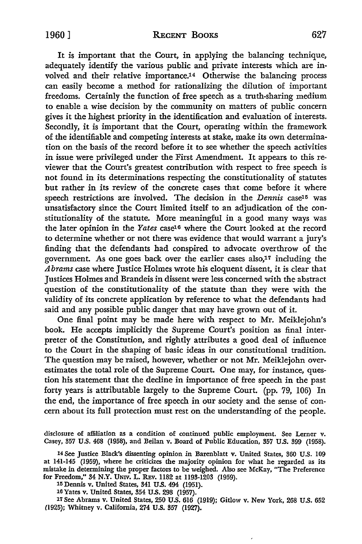It is important that the Court, in applying the balancing technique, adequately identify the various public and private interests which are involved and their relative importance.14 Otherwise the balancing process can easily become a method for rationalizing the dilution of important freedoms. Certainly the function of free speech as a truth-sharing medium to enable a wise decision by the community on matters of public concern gives it the highest priority in the identification and evaluation of interests. Secondly, it is important that the Court, operating within the framework of the identifiable and competing interests at stake, make its own determination on the basis of the record before it to see whether the speech activities in issue were privileged under the First Amendment. It appears to this reviewer that the Court's greatest contribution with respect to free speech is not found in its determinations respecting the constitutionality of statutes but rather in its review of the concrete cases that come before it where speech restrictions are involved. The decision in the *Dennis* case<sup>15</sup> was unsatisfactory since the Court limited itself to an adjudication of the constitutionality of the statute. More meaningful in a good many ways was the later opinion in the *Yates* case<sup>16</sup> where the Court looked at the record to determine whether or not there was evidence that would warrant a jury's finding that the defendants had conspired to advocate overthrow of the government. As one goes back over the earlier cases also, $17$  including the *Abrams* case where Justice Holmes wrote his eloquent dissent, it is clear that Justices Holmes and Brandeis in dissent were less concerned with the abstract question of the constitutionality of the statute than they were with the validity of its concrete application by reference to what the defendants had said and any possible public danger that may have grown out of it.

One final point may be made here with respect to Mr. Meiklejohn's book. He accepts implicitly the Supreme Court's position as final interpreter of the Constitution, and rightly attributes a good deal of influence to the Court in the shaping of basic ideas in our constitutional tradition. The question may be raised, however, whether or not Mr. Meiklejohn overestimates the total role of the Supreme Court. One may, for instance, question his statement that the decline in importance of free speech in the past forty years is attributable largely to the Supreme Court. (pp. 79, 106) In the end, the importance of free speech in our society and the sense of concern about its full protection must rest on the understanding of the people.

disclosure of affiliation as a condition of continued public employment. See Lerner v. Casey, 357 U.S. 468 (1958), and Beilan v. Board of Public Education, 357 U.S. 399 (1958).

17 See Abrams v. United States, 250 U.S. 616 (1919); Gitlow v. New York, 268 U.S. 652 (1925); Whitney v. California, 274 U.S. 357 (1927).

<sup>14</sup>See Justice Black's dissenting opinion in Barenblatt v. United States, 360 U.S. 109 at 141-145 (1959), where he criticizes the majority opinion for what he regarded as its mistake in determining the proper factors to be weighed. Also see McKay, "The Preference for Freedom,'' 34 N.Y. UNIV. L. REv. 1182 at 1193-1203 (1959).

<sup>15</sup> Dennis v. United States, 341 U.S. 494 (1951).

<sup>16</sup> Yates v. United States, 354 U.S. 298 (1957).